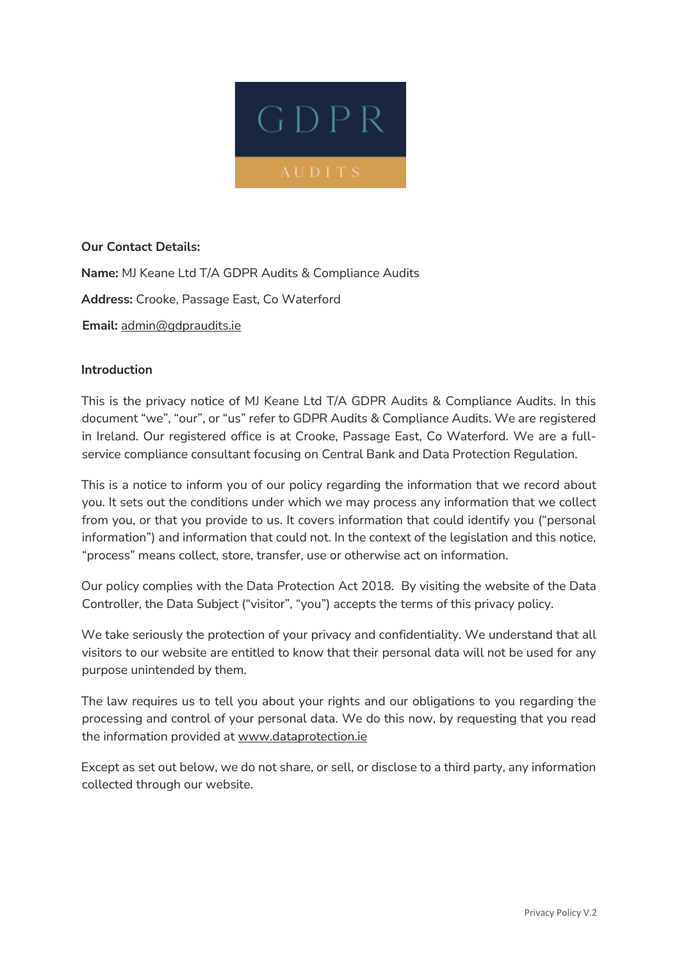

# **Our Contact Details:**

**Name:** MJ Keane Ltd T/A GDPR Audits & Compliance Audits **Address:** Crooke, Passage East, Co Waterford **Email:** admin@gdpraudits.ie

### **Introduction**

This is the privacy notice of MJ Keane Ltd T/A GDPR Audits & Compliance Audits. In this document "we", "our", or "us" refer to GDPR Audits & Compliance Audits. We are registered in Ireland. Our registered office is at Crooke, Passage East, Co Waterford. We are a fullservice compliance consultant focusing on Central Bank and Data Protection Regulation.

This is a notice to inform you of our policy regarding the information that we record about you. It sets out the conditions under which we may process any information that we collect from you, or that you provide to us. It covers information that could identify you ("personal information") and information that could not. In the context of the legislation and this notice, "process" means collect, store, transfer, use or otherwise act on information.

Our policy complies with the Data Protection Act 2018. By visiting the website of the Data Controller, the Data Subject ("visitor", "you") accepts the terms of this privacy policy.

We take seriously the protection of your privacy and confidentiality. We understand that all visitors to our website are entitled to know that their personal data will not be used for any purpose unintended by them.

The law requires us to tell you about your rights and our obligations to you regarding the processing and control of your personal data. We do this now, by requesting that you read the information provided at www.dataprotection.ie

Except as set out below, we do not share, or sell, or disclose to a third party, any information collected through our website.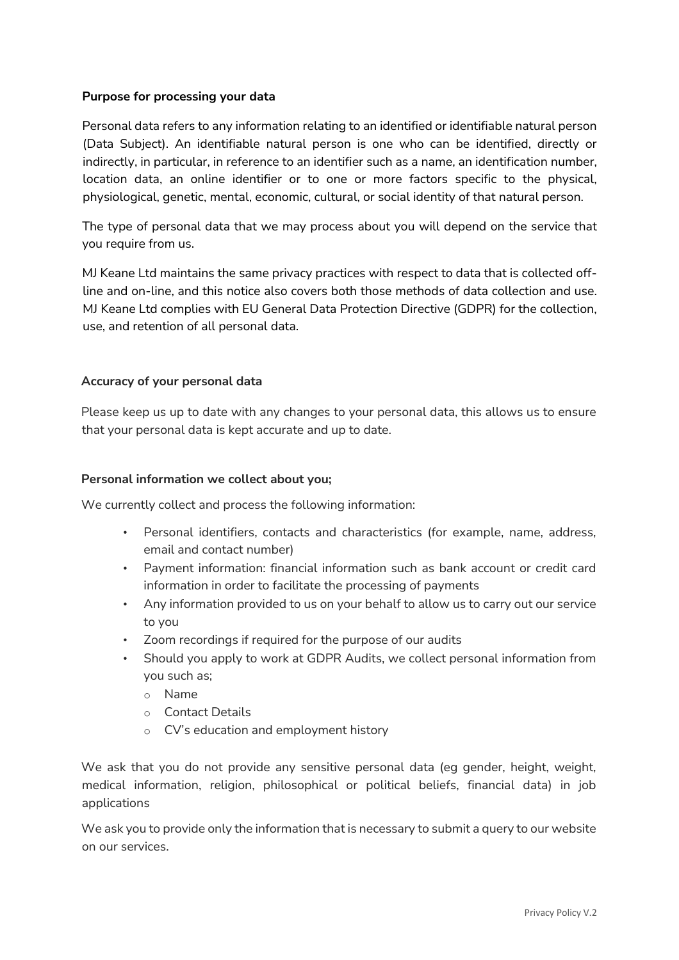## **Purpose for processing your data**

Personal data refers to any information relating to an identified or identifiable natural person (Data Subject). An identifiable natural person is one who can be identified, directly or indirectly, in particular, in reference to an identifier such as a name, an identification number, location data, an online identifier or to one or more factors specific to the physical, physiological, genetic, mental, economic, cultural, or social identity of that natural person.

The type of personal data that we may process about you will depend on the service that you require from us.

MJ Keane Ltd maintains the same privacy practices with respect to data that is collected offline and on-line, and this notice also covers both those methods of data collection and use. MJ Keane Ltd complies with EU General Data Protection Directive (GDPR) for the collection, use, and retention of all personal data.

# **Accuracy of your personal data**

Please keep us up to date with any changes to your personal data, this allows us to ensure that your personal data is kept accurate and up to date.

## **Personal information we collect about you;**

We currently collect and process the following information:

- Personal identifiers, contacts and characteristics (for example, name, address, email and contact number)
- Payment information: financial information such as bank account or credit card information in order to facilitate the processing of payments
- Any information provided to us on your behalf to allow us to carry out our service to you
- Zoom recordings if required for the purpose of our audits
- Should you apply to work at GDPR Audits, we collect personal information from you such as;
	- o Name
	- o Contact Details
	- o CV's education and employment history

We ask that you do not provide any sensitive personal data (eg gender, height, weight, medical information, religion, philosophical or political beliefs, financial data) in job applications

We ask you to provide only the information that is necessary to submit a query to our website on our services.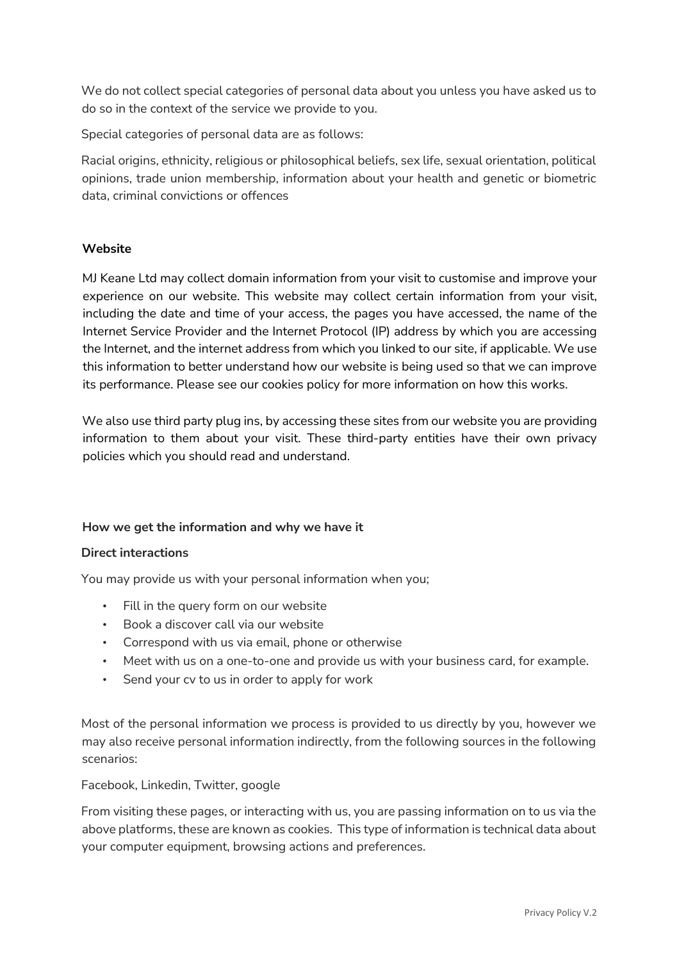We do not collect special categories of personal data about you unless you have asked us to do so in the context of the service we provide to you.

Special categories of personal data are as follows:

Racial origins, ethnicity, religious or philosophical beliefs, sex life, sexual orientation, political opinions, trade union membership, information about your health and genetic or biometric data, criminal convictions or offences

# **Website**

MJ Keane Ltd may collect domain information from your visit to customise and improve your experience on our website. This website may collect certain information from your visit, including the date and time of your access, the pages you have accessed, the name of the Internet Service Provider and the Internet Protocol (IP) address by which you are accessing the Internet, and the internet address from which you linked to our site, if applicable. We use this information to better understand how our website is being used so that we can improve its performance. Please see our cookies policy for more information on how this works.

We also use third party plug ins, by accessing these sites from our website you are providing information to them about your visit. These third-party entities have their own privacy policies which you should read and understand.

### **How we get the information and why we have it**

### **Direct interactions**

You may provide us with your personal information when you;

- Fill in the query form on our website
- Book a discover call via our website
- Correspond with us via email, phone or otherwise
- Meet with us on a one-to-one and provide us with your business card, for example.
- Send your cv to us in order to apply for work

Most of the personal information we process is provided to us directly by you, however we may also receive personal information indirectly, from the following sources in the following scenarios:

Facebook, Linkedin, Twitter, google

From visiting these pages, or interacting with us, you are passing information on to us via the above platforms, these are known as cookies. This type of information is technical data about your computer equipment, browsing actions and preferences.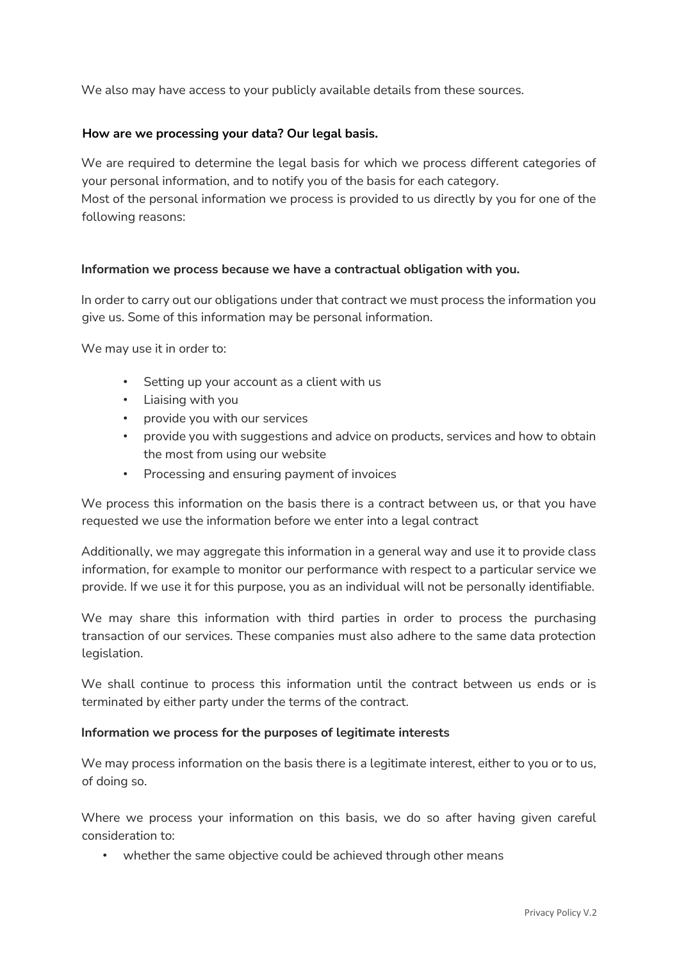We also may have access to your publicly available details from these sources.

## **How are we processing your data? Our legal basis.**

We are required to determine the legal basis for which we process different categories of your personal information, and to notify you of the basis for each category.

Most of the personal information we process is provided to us directly by you for one of the following reasons:

### **Information we process because we have a contractual obligation with you.**

In order to carry out our obligations under that contract we must process the information you give us. Some of this information may be personal information.

We may use it in order to:

- Setting up your account as a client with us
- Liaising with you
- provide you with our services
- provide you with suggestions and advice on products, services and how to obtain the most from using our website
- Processing and ensuring payment of invoices

We process this information on the basis there is a contract between us, or that you have requested we use the information before we enter into a legal contract

Additionally, we may aggregate this information in a general way and use it to provide class information, for example to monitor our performance with respect to a particular service we provide. If we use it for this purpose, you as an individual will not be personally identifiable.

We may share this information with third parties in order to process the purchasing transaction of our services. These companies must also adhere to the same data protection legislation.

We shall continue to process this information until the contract between us ends or is terminated by either party under the terms of the contract.

### **Information we process for the purposes of legitimate interests**

We may process information on the basis there is a legitimate interest, either to you or to us, of doing so.

Where we process your information on this basis, we do so after having given careful consideration to:

• whether the same objective could be achieved through other means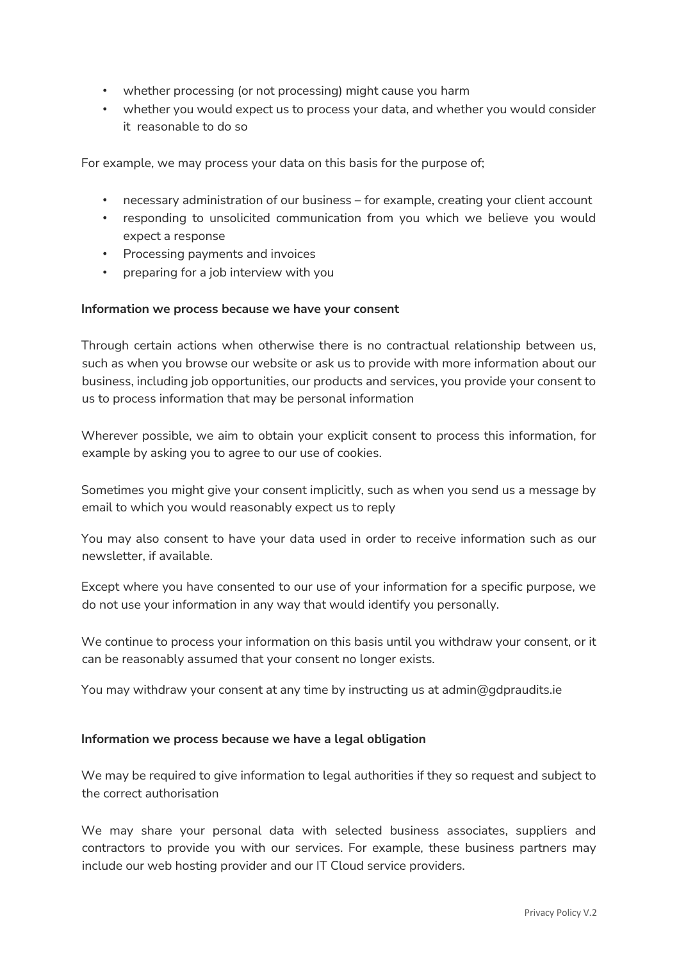- whether processing (or not processing) might cause you harm
- whether you would expect us to process your data, and whether you would consider it reasonable to do so

For example, we may process your data on this basis for the purpose of;

- necessary administration of our business for example, creating your client account
- responding to unsolicited communication from you which we believe you would expect a response
- Processing payments and invoices
- preparing for a job interview with you

#### **Information we process because we have your consent**

Through certain actions when otherwise there is no contractual relationship between us, such as when you browse our website or ask us to provide with more information about our business, including job opportunities, our products and services, you provide your consent to us to process information that may be personal information

Wherever possible, we aim to obtain your explicit consent to process this information, for example by asking you to agree to our use of cookies.

Sometimes you might give your consent implicitly, such as when you send us a message by email to which you would reasonably expect us to reply

You may also consent to have your data used in order to receive information such as our newsletter, if available.

Except where you have consented to our use of your information for a specific purpose, we do not use your information in any way that would identify you personally.

We continue to process your information on this basis until you withdraw your consent, or it can be reasonably assumed that your consent no longer exists.

You may withdraw your consent at any time by instructing us at admin@gdpraudits.ie

### **Information we process because we have a legal obligation**

We may be required to give information to legal authorities if they so request and subject to the correct authorisation

We may share your personal data with selected business associates, suppliers and contractors to provide you with our services. For example, these business partners may include our web hosting provider and our IT Cloud service providers.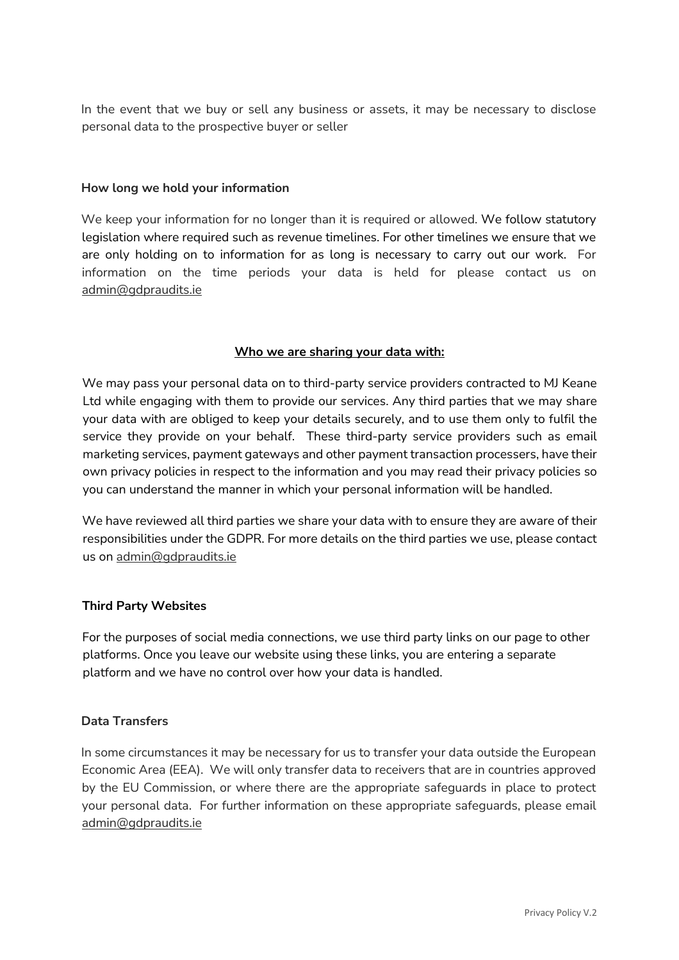In the event that we buy or sell any business or assets, it may be necessary to disclose personal data to the prospective buyer or seller

### **How long we hold your information**

We keep your information for no longer than it is required or allowed. We follow statutory legislation where required such as revenue timelines. For other timelines we ensure that we are only holding on to information for as long is necessary to carry out our work. For information on the time periods your data is held for please contact us on admin@gdpraudits.ie

# **Who we are sharing your data with:**

We may pass your personal data on to third-party service providers contracted to MJ Keane Ltd while engaging with them to provide our services. Any third parties that we may share your data with are obliged to keep your details securely, and to use them only to fulfil the service they provide on your behalf. These third-party service providers such as email marketing services, payment gateways and other payment transaction processers, have their own privacy policies in respect to the information and you may read their privacy policies so you can understand the manner in which your personal information will be handled.

We have reviewed all third parties we share your data with to ensure they are aware of their responsibilities under the GDPR. For more details on the third parties we use, please contact us on admin@gdpraudits.ie

### **Third Party Websites**

For the purposes of social media connections, we use third party links on our page to other platforms. Once you leave our website using these links, you are entering a separate platform and we have no control over how your data is handled.

## **Data Transfers**

In some circumstances it may be necessary for us to transfer your data outside the European Economic Area (EEA). We will only transfer data to receivers that are in countries approved by the EU Commission, or where there are the appropriate safeguards in place to protect your personal data. For further information on these appropriate safeguards, please email admin@gdpraudits.ie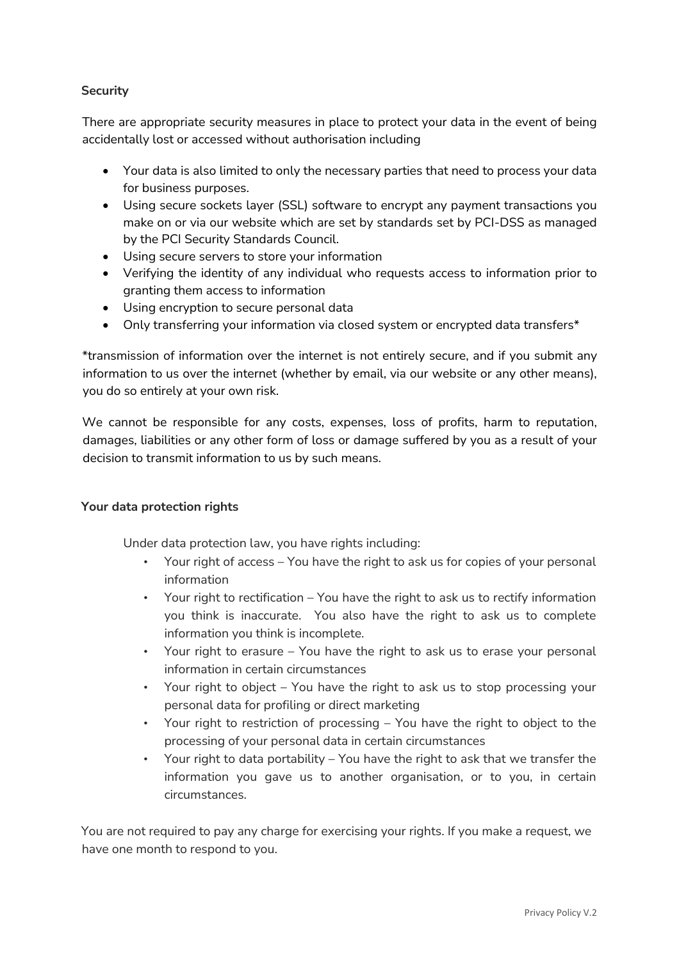# **Security**

There are appropriate security measures in place to protect your data in the event of being accidentally lost or accessed without authorisation including

- Your data is also limited to only the necessary parties that need to process your data for business purposes.
- Using secure sockets layer (SSL) software to encrypt any payment transactions you make on or via our website which are set by standards set by PCI-DSS as managed by the PCI Security Standards Council.
- Using secure servers to store your information
- Verifying the identity of any individual who requests access to information prior to granting them access to information
- Using encryption to secure personal data
- Only transferring your information via closed system or encrypted data transfers\*

\*transmission of information over the internet is not entirely secure, and if you submit any information to us over the internet (whether by email, via our website or any other means), you do so entirely at your own risk.

We cannot be responsible for any costs, expenses, loss of profits, harm to reputation, damages, liabilities or any other form of loss or damage suffered by you as a result of your decision to transmit information to us by such means.

### **Your data protection rights**

Under data protection law, you have rights including:

- Your right of access You have the right to ask us for copies of your personal information
- Your right to rectification You have the right to ask us to rectify information you think is inaccurate. You also have the right to ask us to complete information you think is incomplete.
- Your right to erasure You have the right to ask us to erase your personal information in certain circumstances
- Your right to object You have the right to ask us to stop processing your personal data for profiling or direct marketing
- Your right to restriction of processing You have the right to object to the processing of your personal data in certain circumstances
- Your right to data portability You have the right to ask that we transfer the information you gave us to another organisation, or to you, in certain circumstances.

You are not required to pay any charge for exercising your rights. If you make a request, we have one month to respond to you.